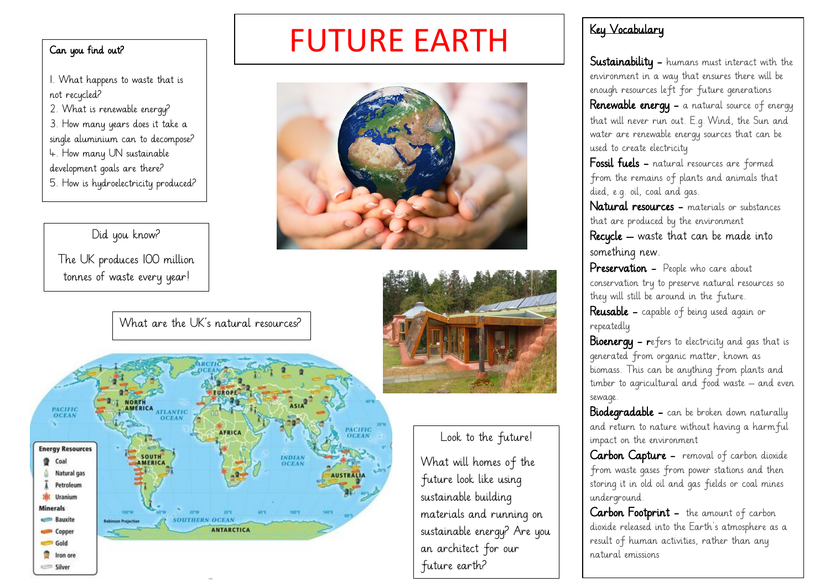#### Can you find out?

1. What happens to waste that is not recycled? 2. What is renewable energy? 3. How many years does it take a single aluminium can to decompose? 4. How many UN sustainable development goals are there? 5. How is hydroelectricity produced?

#### Did you know?

The UK produces 100 million tonnes of waste every year!

## FUTURE EARTH



What are the UK's natural resources?



#### Look to the future!

What will homes of the future look like using sustainable building materials and running on sustainable energy? Are you an architect for our future earth?

#### Key Vocabulary

Sustainability - humans must interact with the environment in a way that ensures there will be enough resources left for future generations Renewable energy - a natural source of energy that will never run out. E.g. Wind, the Sun and water are renewable energy sources that can be used to create electricity

Fossil fuels - natural resources are formed from the remains of plants and animals that died, e.g. oil, coal and gas.

Natural resources - materials or substances that are produced by the environment

Recycle – waste that can be made into something new.

**Preservation -** People who care about conservation try to preserve natural resources so they will still be around in the future.

Reusable - capable of being used again or repeatedly

**Bioenergy - r**efers to electricity and gas that is generated from organic matter, known as biomass. This can be anything from plants and timber to agricultural and food waste – and even sewage.

**Biodegradable -** can be broken down naturally and return to nature without having a harmful impact on the environment

Carbon Capture - removal of carbon dioxide from waste gases from power stations and then storing it in old oil and gas fields or coal mines underground.

Carbon Footprint - the amount of carbon dioxide released into the Earth's atmosphere as a result of human activities, rather than any natural emissions